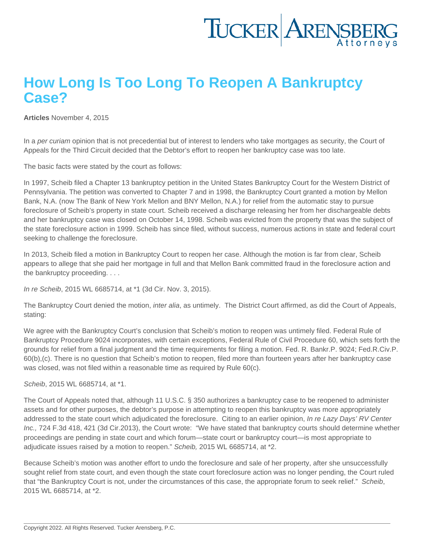## How Long Is Too Long To Reopen A Bankruptcy Case?

[Articles](https://www.tuckerlaw.com/category/articles/) November 4, 2015

In a per curiam opinion that is not precedential but of interest to lenders who take mortgages as security, the Court of Appeals for the Third Circuit decided that the Debtor's effort to reopen her bankruptcy case was too late.

The basic facts were stated by the court as follows:

In 1997, Scheib filed a Chapter 13 bankruptcy petition in the United States Bankruptcy Court for the Western District of Pennsylvania. The petition was converted to Chapter 7 and in 1998, the Bankruptcy Court granted a motion by Mellon Bank, N.A. (now The Bank of New York Mellon and BNY Mellon, N.A.) for relief from the automatic stay to pursue foreclosure of Scheib's property in state court. Scheib received a discharge releasing her from her dischargeable debts and her bankruptcy case was closed on October 14, 1998. Scheib was evicted from the property that was the subject of the state foreclosure action in 1999. Scheib has since filed, without success, numerous actions in state and federal court seeking to challenge the foreclosure.

In 2013, Scheib filed a motion in Bankruptcy Court to reopen her case. Although the motion is far from clear, Scheib appears to allege that she paid her mortgage in full and that Mellon Bank committed fraud in the foreclosure action and the bankruptcy proceeding. . . .

In re Scheib, 2015 WL 6685714, at \*1 (3d Cir. Nov. 3, 2015).

The Bankruptcy Court denied the motion, inter alia, as untimely. The District Court affirmed, as did the Court of Appeals, stating:

We agree with the Bankruptcy Court's conclusion that Scheib's motion to reopen was untimely filed. Federal Rule of Bankruptcy Procedure 9024 incorporates, with certain exceptions, Federal Rule of Civil Procedure 60, which sets forth the grounds for relief from a final judgment and the time requirements for filing a motion. Fed. R. Bankr.P. 9024; Fed.R.Civ.P. 60(b),(c). There is no question that Scheib's motion to reopen, filed more than fourteen years after her bankruptcy case was closed, was not filed within a reasonable time as required by Rule 60(c).

Scheib, 2015 WL 6685714, at \*1.

The Court of Appeals noted that, although 11 U.S.C. § 350 authorizes a bankruptcy case to be reopened to administer assets and for other purposes, the debtor's purpose in attempting to reopen this bankruptcy was more appropriately addressed to the state court which adjudicated the foreclosure. Citing to an earlier opinion, In re Lazy Days' RV Center Inc., 724 F.3d 418, 421 (3d Cir.2013), the Court wrote: "We have stated that bankruptcy courts should determine whether proceedings are pending in state court and which forum—state court or bankruptcy court—is most appropriate to adjudicate issues raised by a motion to reopen." Scheib, 2015 WL 6685714, at \*2.

Because Scheib's motion was another effort to undo the foreclosure and sale of her property, after she unsuccessfully sought relief from state court, and even though the state court foreclosure action was no longer pending, the Court ruled that "the Bankruptcy Court is not, under the circumstances of this case, the appropriate forum to seek relief." Scheib, 2015 WL 6685714, at \*2.